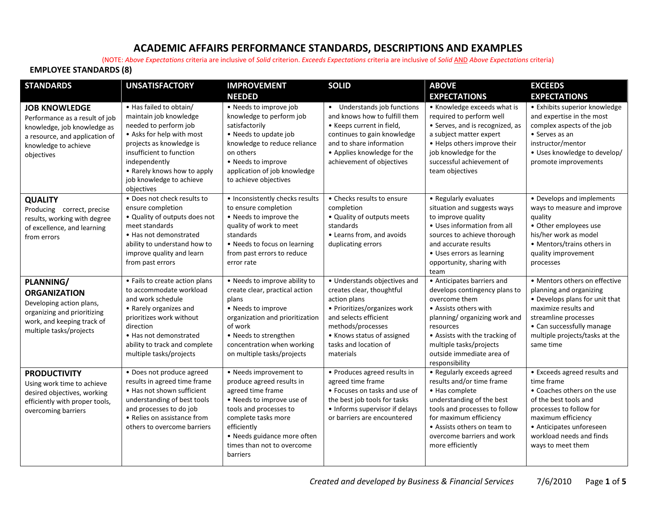## **ACADEMIC AFFAIRS PERFORMANCE STANDARDS, DESCRIPTIONS AND EXAMPLES**

(NOTE: *Above Expectations* criteria are inclusive of *Solid* criterion. *Exceeds Expectations* criteria are inclusive of *Solid* AND *Above Expectations* criteria)

## **EMPLOYEE STANDARDS (8)**

| <b>STANDARDS</b>                                                                                                                                              | <b>UNSATISFACTORY</b>                                                                                                                                                                                                                                     | <b>IMPROVEMENT</b>                                                                                                                                                                                                                             | <b>SOLID</b>                                                                                                                                                                                                                | <b>ABOVE</b>                                                                                                                                                                                                                                                    | <b>EXCEEDS</b>                                                                                                                                                                                                                   |
|---------------------------------------------------------------------------------------------------------------------------------------------------------------|-----------------------------------------------------------------------------------------------------------------------------------------------------------------------------------------------------------------------------------------------------------|------------------------------------------------------------------------------------------------------------------------------------------------------------------------------------------------------------------------------------------------|-----------------------------------------------------------------------------------------------------------------------------------------------------------------------------------------------------------------------------|-----------------------------------------------------------------------------------------------------------------------------------------------------------------------------------------------------------------------------------------------------------------|----------------------------------------------------------------------------------------------------------------------------------------------------------------------------------------------------------------------------------|
|                                                                                                                                                               |                                                                                                                                                                                                                                                           | <b>NEEDED</b>                                                                                                                                                                                                                                  |                                                                                                                                                                                                                             | <b>EXPECTATIONS</b>                                                                                                                                                                                                                                             | <b>EXPECTATIONS</b>                                                                                                                                                                                                              |
| <b>JOB KNOWLEDGE</b><br>Performance as a result of job<br>knowledge, job knowledge as<br>a resource, and application of<br>knowledge to achieve<br>objectives | • Has failed to obtain/<br>maintain job knowledge<br>needed to perform job<br>• Asks for help with most<br>projects as knowledge is<br>insufficient to function<br>independently<br>• Rarely knows how to apply<br>job knowledge to achieve<br>objectives | • Needs to improve job<br>knowledge to perform job<br>satisfactorily<br>• Needs to update job<br>knowledge to reduce reliance<br>on others<br>• Needs to improve<br>application of job knowledge<br>to achieve objectives                      | • Understands job functions<br>and knows how to fulfill them<br>• Keeps current in field,<br>continues to gain knowledge<br>and to share information<br>• Applies knowledge for the<br>achievement of objectives            | • Knowledge exceeds what is<br>required to perform well<br>• Serves, and is recognized, as<br>a subject matter expert<br>• Helps others improve their<br>job knowledge for the<br>successful achievement of<br>team objectives                                  | • Exhibits superior knowledge<br>and expertise in the most<br>complex aspects of the job<br>• Serves as an<br>instructor/mentor<br>· Uses knowledge to develop/<br>promote improvements                                          |
| <b>QUALITY</b><br>Producing correct, precise<br>results, working with degree<br>of excellence, and learning<br>from errors                                    | . Does not check results to<br>ensure completion<br>• Quality of outputs does not<br>meet standards<br>• Has not demonstrated<br>ability to understand how to<br>improve quality and learn<br>from past errors                                            | • Inconsistently checks results<br>to ensure completion<br>• Needs to improve the<br>quality of work to meet<br>standards<br>• Needs to focus on learning<br>from past errors to reduce<br>error rate                                          | • Checks results to ensure<br>completion<br>• Quality of outputs meets<br>standards<br>• Learns from, and avoids<br>duplicating errors                                                                                      | • Regularly evaluates<br>situation and suggests ways<br>to improve quality<br>• Uses information from all<br>sources to achieve thorough<br>and accurate results<br>• Uses errors as learning<br>opportunity, sharing with<br>team                              | • Develops and implements<br>ways to measure and improve<br>quality<br>• Other employees use<br>his/her work as model<br>• Mentors/trains others in<br>quality improvement<br>processes                                          |
| PLANNING/<br><b>ORGANIZATION</b><br>Developing action plans,<br>organizing and prioritizing<br>work, and keeping track of<br>multiple tasks/projects          | • Fails to create action plans<br>to accommodate workload<br>and work schedule<br>• Rarely organizes and<br>prioritizes work without<br>direction<br>• Has not demonstrated<br>ability to track and complete<br>multiple tasks/projects                   | • Needs to improve ability to<br>create clear, practical action<br>plans<br>• Needs to improve<br>organization and prioritization<br>of work<br>• Needs to strengthen<br>concentration when working<br>on multiple tasks/projects              | • Understands objectives and<br>creates clear, thoughtful<br>action plans<br>• Prioritizes/organizes work<br>and selects efficient<br>methods/processes<br>• Knows status of assigned<br>tasks and location of<br>materials | • Anticipates barriers and<br>develops contingency plans to<br>overcome them<br>• Assists others with<br>planning/ organizing work and<br>resources<br>• Assists with the tracking of<br>multiple tasks/projects<br>outside immediate area of<br>responsibility | • Mentors others on effective<br>planning and organizing<br>• Develops plans for unit that<br>maximize results and<br>streamline processes<br>• Can successfully manage<br>multiple projects/tasks at the<br>same time           |
| <b>PRODUCTIVITY</b><br>Using work time to achieve<br>desired objectives, working<br>efficiently with proper tools,<br>overcoming barriers                     | • Does not produce agreed<br>results in agreed time frame<br>• Has not shown sufficient<br>understanding of best tools<br>and processes to do job<br>• Relies on assistance from<br>others to overcome barriers                                           | • Needs improvement to<br>produce agreed results in<br>agreed time frame<br>• Needs to improve use of<br>tools and processes to<br>complete tasks more<br>efficiently<br>• Needs guidance more often<br>times than not to overcome<br>barriers | • Produces agreed results in<br>agreed time frame<br>• Focuses on tasks and use of<br>the best job tools for tasks<br>• Informs supervisor if delays<br>or barriers are encountered                                         | • Regularly exceeds agreed<br>results and/or time frame<br>• Has complete<br>understanding of the best<br>tools and processes to follow<br>for maximum efficiency<br>• Assists others on team to<br>overcome barriers and work<br>more efficiently              | • Exceeds agreed results and<br>time frame<br>• Coaches others on the use<br>of the best tools and<br>processes to follow for<br>maximum efficiency<br>• Anticipates unforeseen<br>workload needs and finds<br>ways to meet them |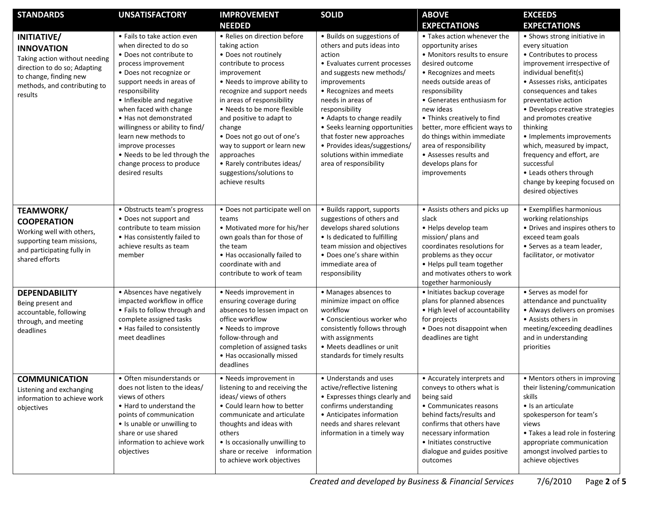| <b>STANDARDS</b>                                                                                                                                                       | <b>UNSATISFACTORY</b>                                                                                                                                                                                                                                                                                                                                                                                                                | <b>IMPROVEMENT</b>                                                                                                                                                                                                                                                                                                                                                                                                                        | <b>SOLID</b>                                                                                                                                                                                                                                                                                                                                                                                             | <b>ABOVE</b>                                                                                                                                                                                                                                                                                                                                                                                                   | <b>EXCEEDS</b>                                                                                                                                                                                                                                                                                                                                                                                                                                                                     |
|------------------------------------------------------------------------------------------------------------------------------------------------------------------------|--------------------------------------------------------------------------------------------------------------------------------------------------------------------------------------------------------------------------------------------------------------------------------------------------------------------------------------------------------------------------------------------------------------------------------------|-------------------------------------------------------------------------------------------------------------------------------------------------------------------------------------------------------------------------------------------------------------------------------------------------------------------------------------------------------------------------------------------------------------------------------------------|----------------------------------------------------------------------------------------------------------------------------------------------------------------------------------------------------------------------------------------------------------------------------------------------------------------------------------------------------------------------------------------------------------|----------------------------------------------------------------------------------------------------------------------------------------------------------------------------------------------------------------------------------------------------------------------------------------------------------------------------------------------------------------------------------------------------------------|------------------------------------------------------------------------------------------------------------------------------------------------------------------------------------------------------------------------------------------------------------------------------------------------------------------------------------------------------------------------------------------------------------------------------------------------------------------------------------|
|                                                                                                                                                                        |                                                                                                                                                                                                                                                                                                                                                                                                                                      | <b>NEEDED</b>                                                                                                                                                                                                                                                                                                                                                                                                                             |                                                                                                                                                                                                                                                                                                                                                                                                          | <b>EXPECTATIONS</b>                                                                                                                                                                                                                                                                                                                                                                                            | <b>EXPECTATIONS</b>                                                                                                                                                                                                                                                                                                                                                                                                                                                                |
| INITIATIVE/<br><b>INNOVATION</b><br>Taking action without needing<br>direction to do so; Adapting<br>to change, finding new<br>methods, and contributing to<br>results | • Fails to take action even<br>when directed to do so<br>• Does not contribute to<br>process improvement<br>• Does not recognize or<br>support needs in areas of<br>responsibility<br>• Inflexible and negative<br>when faced with change<br>• Has not demonstrated<br>willingness or ability to find/<br>learn new methods to<br>improve processes<br>• Needs to be led through the<br>change process to produce<br>desired results | • Relies on direction before<br>taking action<br>• Does not routinely<br>contribute to process<br>improvement<br>• Needs to improve ability to<br>recognize and support needs<br>in areas of responsibility<br>• Needs to be more flexible<br>and positive to adapt to<br>change<br>· Does not go out of one's<br>way to support or learn new<br>approaches<br>• Rarely contributes ideas/<br>suggestions/solutions to<br>achieve results | · Builds on suggestions of<br>others and puts ideas into<br>action<br>• Evaluates current processes<br>and suggests new methods/<br>improvements<br>• Recognizes and meets<br>needs in areas of<br>responsibility<br>• Adapts to change readily<br>• Seeks learning opportunities<br>that foster new approaches<br>• Provides ideas/suggestions/<br>solutions within immediate<br>area of responsibility | • Takes action whenever the<br>opportunity arises<br>• Monitors results to ensure<br>desired outcome<br>• Recognizes and meets<br>needs outside areas of<br>responsibility<br>• Generates enthusiasm for<br>new ideas<br>• Thinks creatively to find<br>better, more efficient ways to<br>do things within immediate<br>area of responsibility<br>• Assesses results and<br>develops plans for<br>improvements | • Shows strong initiative in<br>every situation<br>• Contributes to process<br>improvement irrespective of<br>individual benefit(s)<br>• Assesses risks, anticipates<br>consequences and takes<br>preventative action<br>• Develops creative strategies<br>and promotes creative<br>thinking<br>• Implements improvements<br>which, measured by impact,<br>frequency and effort, are<br>successful<br>• Leads others through<br>change by keeping focused on<br>desired objectives |
| <b>TEAMWORK/</b><br><b>COOPERATION</b><br>Working well with others,<br>supporting team missions,<br>and participating fully in<br>shared efforts                       | • Obstructs team's progress<br>• Does not support and<br>contribute to team mission<br>• Has consistently failed to<br>achieve results as team<br>member                                                                                                                                                                                                                                                                             | · Does not participate well on<br>teams<br>• Motivated more for his/her<br>own goals than for those of<br>the team<br>• Has occasionally failed to<br>coordinate with and<br>contribute to work of team                                                                                                                                                                                                                                   | • Builds rapport, supports<br>suggestions of others and<br>develops shared solutions<br>• Is dedicated to fulfilling<br>team mission and objectives<br>• Does one's share within<br>immediate area of<br>responsibility                                                                                                                                                                                  | • Assists others and picks up<br>slack<br>• Helps develop team<br>mission/ plans and<br>coordinates resolutions for<br>problems as they occur<br>• Helps pull team together<br>and motivates others to work<br>together harmoniously                                                                                                                                                                           | • Exemplifies harmonious<br>working relationships<br>• Drives and inspires others to<br>exceed team goals<br>• Serves as a team leader,<br>facilitator, or motivator                                                                                                                                                                                                                                                                                                               |
| <b>DEPENDABILITY</b><br>Being present and<br>accountable, following<br>through, and meeting<br>deadlines                                                               | • Absences have negatively<br>impacted workflow in office<br>• Fails to follow through and<br>complete assigned tasks<br>• Has failed to consistently<br>meet deadlines                                                                                                                                                                                                                                                              | • Needs improvement in<br>ensuring coverage during<br>absences to lessen impact on<br>office workflow<br>• Needs to improve<br>follow-through and<br>completion of assigned tasks<br>• Has occasionally missed<br>deadlines                                                                                                                                                                                                               | • Manages absences to<br>minimize impact on office<br>workflow<br>• Conscientious worker who<br>consistently follows through<br>with assignments<br>• Meets deadlines or unit<br>standards for timely results                                                                                                                                                                                            | · Initiates backup coverage<br>plans for planned absences<br>• High level of accountability<br>for projects<br>• Does not disappoint when<br>deadlines are tight                                                                                                                                                                                                                                               | • Serves as model for<br>attendance and punctuality<br>• Always delivers on promises<br>• Assists others in<br>meeting/exceeding deadlines<br>and in understanding<br>priorities                                                                                                                                                                                                                                                                                                   |
| <b>COMMUNICATION</b><br>Listening and exchanging<br>information to achieve work<br>objectives                                                                          | • Often misunderstands or<br>does not listen to the ideas/<br>views of others<br>. Hard to understand the<br>points of communication<br>• Is unable or unwilling to<br>share or use shared<br>information to achieve work<br>objectives                                                                                                                                                                                              | • Needs improvement in<br>listening to and receiving the<br>ideas/views of others<br>• Could learn how to better<br>communicate and articulate<br>thoughts and ideas with<br>others<br>• Is occasionally unwilling to<br>share or receive information<br>to achieve work objectives                                                                                                                                                       | • Understands and uses<br>active/reflective listening<br>• Expresses things clearly and<br>confirms understanding<br>• Anticipates information<br>needs and shares relevant<br>information in a timely way                                                                                                                                                                                               | • Accurately interprets and<br>conveys to others what is<br>being said<br>• Communicates reasons<br>behind facts/results and<br>confirms that others have<br>necessary information<br>• Initiates constructive<br>dialogue and guides positive<br>outcomes                                                                                                                                                     | • Mentors others in improving<br>their listening/communication<br>skills<br>• Is an articulate<br>spokesperson for team's<br>views<br>• Takes a lead role in fostering<br>appropriate communication<br>amongst involved parties to<br>achieve objectives                                                                                                                                                                                                                           |

*Created and developed by Business & Financial Services* 7/6/2010 Page **2** of **5**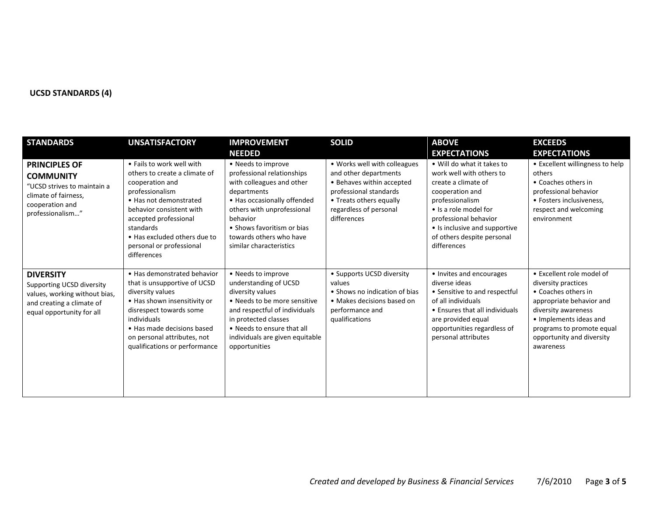## **UCSD STANDARDS (4)**

| <b>STANDARDS</b>                                                                                                                         | <b>UNSATISFACTORY</b>                                                                                                                                                                                                                                                   | <b>IMPROVEMENT</b>                                                                                                                                                                                                                                        | <b>SOLID</b>                                                                                                                                                                     | <b>ABOVE</b>                                                                                                                                                                                                                                        | <b>EXCEEDS</b>                                                                                                                                                                                                              |
|------------------------------------------------------------------------------------------------------------------------------------------|-------------------------------------------------------------------------------------------------------------------------------------------------------------------------------------------------------------------------------------------------------------------------|-----------------------------------------------------------------------------------------------------------------------------------------------------------------------------------------------------------------------------------------------------------|----------------------------------------------------------------------------------------------------------------------------------------------------------------------------------|-----------------------------------------------------------------------------------------------------------------------------------------------------------------------------------------------------------------------------------------------------|-----------------------------------------------------------------------------------------------------------------------------------------------------------------------------------------------------------------------------|
|                                                                                                                                          |                                                                                                                                                                                                                                                                         | <b>NEEDED</b>                                                                                                                                                                                                                                             |                                                                                                                                                                                  | <b>EXPECTATIONS</b>                                                                                                                                                                                                                                 | <b>EXPECTATIONS</b>                                                                                                                                                                                                         |
| <b>PRINCIPLES OF</b><br><b>COMMUNITY</b><br>"UCSD strives to maintain a<br>climate of fairness,<br>cooperation and<br>professionalism"   | . Fails to work well with<br>others to create a climate of<br>cooperation and<br>professionalism<br>• Has not demonstrated<br>behavior consistent with<br>accepted professional<br>standards<br>• Has excluded others due to<br>personal or professional<br>differences | • Needs to improve<br>professional relationships<br>with colleagues and other<br>departments<br>• Has occasionally offended<br>others with unprofessional<br>behavior<br>• Shows favoritism or bias<br>towards others who have<br>similar characteristics | • Works well with colleagues<br>and other departments<br>• Behaves within accepted<br>professional standards<br>• Treats others equally<br>regardless of personal<br>differences | • Will do what it takes to<br>work well with others to<br>create a climate of<br>cooperation and<br>professionalism<br>• Is a role model for<br>professional behavior<br>• Is inclusive and supportive<br>of others despite personal<br>differences | • Excellent willingness to help<br>others<br>• Coaches others in<br>professional behavior<br>• Fosters inclusiveness,<br>respect and welcoming<br>environment                                                               |
| <b>DIVERSITY</b><br>Supporting UCSD diversity<br>values, working without bias,<br>and creating a climate of<br>equal opportunity for all | • Has demonstrated behavior<br>that is unsupportive of UCSD<br>diversity values<br>• Has shown insensitivity or<br>disrespect towards some<br>individuals<br>• Has made decisions based<br>on personal attributes, not<br>qualifications or performance                 | • Needs to improve<br>understanding of UCSD<br>diversity values<br>• Needs to be more sensitive<br>and respectful of individuals<br>in protected classes<br>• Needs to ensure that all<br>individuals are given equitable<br>opportunities                | • Supports UCSD diversity<br>values<br>• Shows no indication of bias<br>• Makes decisions based on<br>performance and<br>qualifications                                          | • Invites and encourages<br>diverse ideas<br>• Sensitive to and respectful<br>of all individuals<br>• Ensures that all individuals<br>are provided equal<br>opportunities regardless of<br>personal attributes                                      | • Excellent role model of<br>diversity practices<br>• Coaches others in<br>appropriate behavior and<br>diversity awareness<br>• Implements ideas and<br>programs to promote equal<br>opportunity and diversity<br>awareness |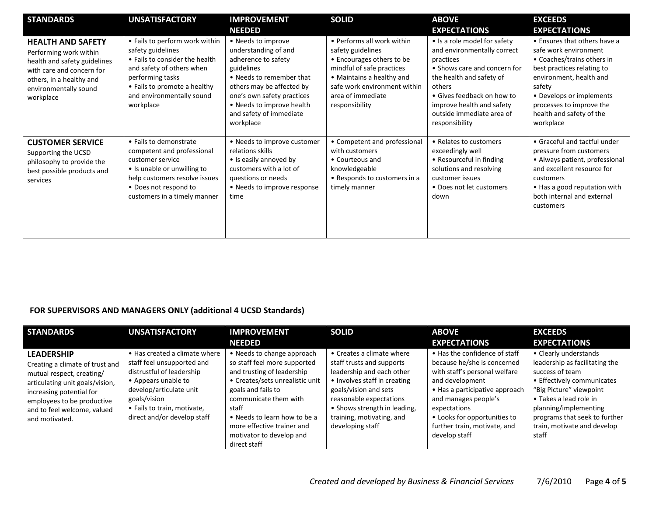| <b>STANDARDS</b>                                                                                                                                                                  | <b>UNSATISFACTORY</b>                                                                                                                                                                                            | <b>IMPROVEMENT</b>                                                                                                                                                                                                                          | <b>SOLID</b>                                                                                                                                                                                                  | <b>ABOVE</b>                                                                                                                                                                                                                                             | <b>EXCEEDS</b>                                                                                                                                                                                                                                          |
|-----------------------------------------------------------------------------------------------------------------------------------------------------------------------------------|------------------------------------------------------------------------------------------------------------------------------------------------------------------------------------------------------------------|---------------------------------------------------------------------------------------------------------------------------------------------------------------------------------------------------------------------------------------------|---------------------------------------------------------------------------------------------------------------------------------------------------------------------------------------------------------------|----------------------------------------------------------------------------------------------------------------------------------------------------------------------------------------------------------------------------------------------------------|---------------------------------------------------------------------------------------------------------------------------------------------------------------------------------------------------------------------------------------------------------|
|                                                                                                                                                                                   |                                                                                                                                                                                                                  | <b>NEEDED</b>                                                                                                                                                                                                                               |                                                                                                                                                                                                               | <b>EXPECTATIONS</b>                                                                                                                                                                                                                                      | <b>EXPECTATIONS</b>                                                                                                                                                                                                                                     |
| <b>HEALTH AND SAFETY</b><br>Performing work within<br>health and safety guidelines<br>with care and concern for<br>others, in a healthy and<br>environmentally sound<br>workplace | • Fails to perform work within<br>safety guidelines<br>• Fails to consider the health<br>and safety of others when<br>performing tasks<br>• Fails to promote a healthy<br>and environmentally sound<br>workplace | • Needs to improve<br>understanding of and<br>adherence to safety<br>guidelines<br>• Needs to remember that<br>others may be affected by<br>one's own safety practices<br>• Needs to improve health<br>and safety of immediate<br>workplace | • Performs all work within<br>safety guidelines<br>• Encourages others to be<br>mindful of safe practices<br>• Maintains a healthy and<br>safe work environment within<br>area of immediate<br>responsibility | • Is a role model for safety<br>and environmentally correct<br>practices<br>• Shows care and concern for<br>the health and safety of<br>others<br>• Gives feedback on how to<br>improve health and safety<br>outside immediate area of<br>responsibility | • Ensures that others have a<br>safe work environment<br>• Coaches/trains others in<br>best practices relating to<br>environment, health and<br>safety<br>• Develops or implements<br>processes to improve the<br>health and safety of the<br>workplace |
| <b>CUSTOMER SERVICE</b><br>Supporting the UCSD<br>philosophy to provide the<br>best possible products and<br>services                                                             | • Fails to demonstrate<br>competent and professional<br>customer service<br>• Is unable or unwilling to<br>help customers resolve issues<br>• Does not respond to<br>customers in a timely manner                | • Needs to improve customer<br>relations skills<br>• Is easily annoyed by<br>customers with a lot of<br>questions or needs<br>• Needs to improve response<br>time                                                                           | • Competent and professional<br>with customers<br>• Courteous and<br>knowledgeable<br>• Responds to customers in a<br>timely manner                                                                           | • Relates to customers<br>exceedingly well<br>• Resourceful in finding<br>solutions and resolving<br>customer issues<br>• Does not let customers<br>down                                                                                                 | • Graceful and tactful under<br>pressure from customers<br>• Always patient, professional<br>and excellent resource for<br>customers<br>• Has a good reputation with<br>both internal and external<br>customers                                         |

## **FOR SUPERVISORS AND MANAGERS ONLY (additional 4 UCSD Standards)**

| <b>STANDARDS</b>                                                                                                                                                                                                                | <b>UNSATISFACTORY</b>                                                                                                                                                                                                    | <b>IMPROVEMENT</b><br><b>NEEDED</b>                                                                                                                                                                                                                                                           | <b>SOLID</b>                                                                                                                                                                                                                                             | <b>ABOVE</b><br><b>EXPECTATIONS</b>                                                                                                                                                                                                                                         | <b>EXCEEDS</b><br><b>EXPECTATIONS</b>                                                                                                                                                                                                                           |
|---------------------------------------------------------------------------------------------------------------------------------------------------------------------------------------------------------------------------------|--------------------------------------------------------------------------------------------------------------------------------------------------------------------------------------------------------------------------|-----------------------------------------------------------------------------------------------------------------------------------------------------------------------------------------------------------------------------------------------------------------------------------------------|----------------------------------------------------------------------------------------------------------------------------------------------------------------------------------------------------------------------------------------------------------|-----------------------------------------------------------------------------------------------------------------------------------------------------------------------------------------------------------------------------------------------------------------------------|-----------------------------------------------------------------------------------------------------------------------------------------------------------------------------------------------------------------------------------------------------------------|
| <b>LEADERSHIP</b><br>Creating a climate of trust and<br>mutual respect, creating/<br>articulating unit goals/vision,<br>increasing potential for<br>employees to be productive<br>and to feel welcome, valued<br>and motivated. | • Has created a climate where<br>staff feel unsupported and<br>distrustful of leadership<br>• Appears unable to<br>develop/articulate unit<br>goals/vision<br>• Fails to train, motivate,<br>direct and/or develop staff | • Needs to change approach<br>so staff feel more supported<br>and trusting of leadership<br>• Creates/sets unrealistic unit<br>goals and fails to<br>communicate them with<br>staff<br>• Needs to learn how to be a<br>more effective trainer and<br>motivator to develop and<br>direct staff | • Creates a climate where<br>staff trusts and supports<br>leadership and each other<br>• Involves staff in creating<br>goals/vision and sets<br>reasonable expectations<br>• Shows strength in leading,<br>training, motivating, and<br>developing staff | • Has the confidence of staff<br>because he/she is concerned<br>with staff's personal welfare<br>and development<br>• Has a participative approach<br>and manages people's<br>expectations<br>• Looks for opportunities to<br>further train, motivate, and<br>develop staff | • Clearly understands<br>leadership as facilitating the<br>success of team<br>• Effectively communicates<br>"Big Picture" viewpoint<br>• Takes a lead role in<br>planning/implementing<br>programs that seek to further<br>train, motivate and develop<br>staff |